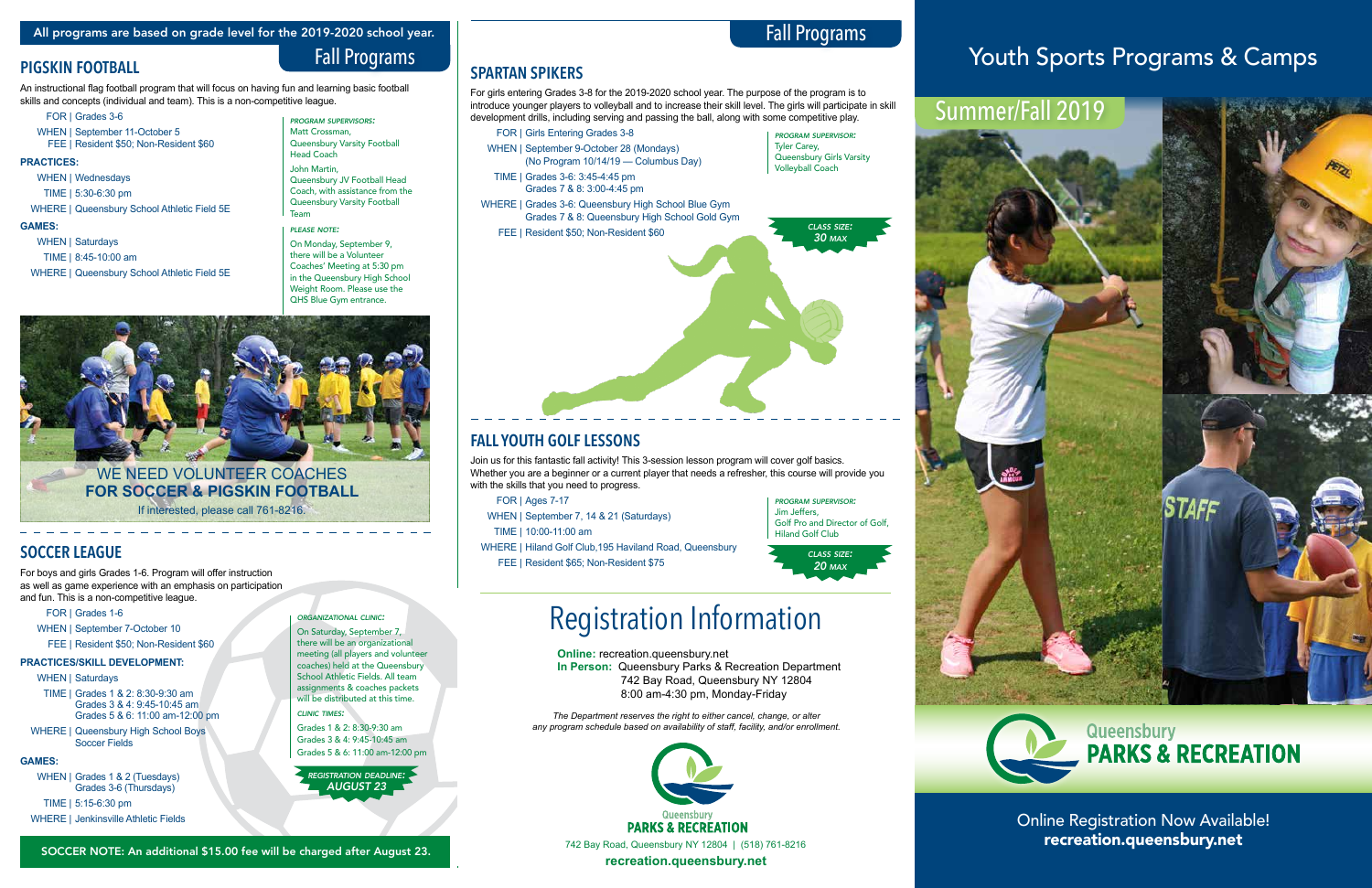Online Registration Now Available!



## **PIGSKIN FOOTBALL**

An instructional flag football program that will focus on having fun and learning basic football skills and concepts (individual and team). This is a non-competitive league.

- FOR | Grades 3-6
- WHEN | September 11-October 5 FEE | Resident \$50; Non-Resident \$60

### **PRACTICES:**

- WHEN | Wednesdays
- TIME | 5:30-6:30 pm
- WHERE | Queensbury School Athletic Field 5E

### **GAMES:**

WHEN | Saturdays

- TIME | 8:45-10:00 am
- WHERE | Queensbury School Athletic Field 5E

*program supervisors:*  Matt Crossman, Queensbury Varsity Football

Head Coach John Martin, Queensbury JV Football Head Coach, with assistance from the Queensbury Varsity Football

Team

### *please note:*

On Monday, September 9, there will be a Volunteer Coaches' Meeting at 5:30 pm in the Queensbury High School Weight Room. Please use the QHS Blue Gym entrance.



# Fall Programs

Fall Programs

**SPARTAN SPIKERS**

For girls entering Grades 3-8 for the 2019-2020 school year. The purpose of the program is to introduce younger players to volleyball and to increase their skill level. The girls will participate in skill development drills, including serving and passing the ball, along with some competitive play.

- FOR | Girls Entering Grades 3-8 WHEN | September 9-October 28 (Mondays) (No Program 10/14/19 — Columbus Day)
- TIME | Grades 3-6: 3:45-4:45 pm Grades 7 & 8: 3:00-4:45 pm

On Saturday, September 7, there will be an organizational meeting (all players and volunteer coaches) held at the Queensbury School Athletic Fields. All team assignments & coaches packets will be distributed at this time.

- WHERE | Grades 3-6: Queensbury High School Blue Gym Grades 7 & 8: Queensbury High School Gold Gym
	- FEE | Resident \$50; Non-Resident \$60

# **FALL YOUTH GOLF LESSONS**

Join us for this fantastic fall activity! This 3-session lesson program will cover golf basics. Whether you are a beginner or a current player that needs a refresher, this course will provide you with the skills that you need to progress.

FOR | Ages 7-17

- WHEN | September 7, 14 & 21 (Saturdays)
- TIME | 10:00-11:00 am
- WHERE | Hiland Golf Club,195 Haviland Road, Queensbury FEE | Resident \$65; Non-Resident \$75



Queensbury Girls Varsity







## **SOCCER LEAGUE**

For boys and girls Grades 1-6. Program will offer instruction as well as game experience with an emphasis on participation and fun. This is a non-competitive league.

- FOR | Grades 1-6
- WHEN | September 7-October 10
- FEE | Resident \$50; Non-Resident \$60

## **PRACTICES/SKILL DEVELOPMENT:**

### WHEN | Saturdays

- TIME | Grades 1 & 2: 8:30-9:30 am Grades 3 & 4: 9:45-10:45 am Grades 5 & 6: 11:00 am-12:00 pm
- WHERE | Queensbury High School Boys Soccer Fields

## **GAMES:**

WHEN | Grades 1 & 2 (Tuesdays) Grades 3-6 (Thursdays)

TIME | 5:15-6:30 pm

WHERE | Jenkinsville Athletic Fields

*registration deadline: AUGUST 23*

## *organizational clinic:*

## *clinic times:*

Grades 1 & 2: 8:30-9:30 am Grades 3 & 4: 9:45-10:45 am Grades 5 & 6: 11:00 am-12:00 pm **Online:** recreation.queensbury.net **In Person:** Queensbury Parks & Recreation Department 742 Bay Road, Queensbury NY 12804 8:00 am-4:30 pm, Monday-Friday

# Registration Information

*The Department reserves the right to either cancel, change, or alter any program schedule based on availability of staff, facility, and/or enrollment.*

# Summer/Fall 2019



**STAFF** 

# Youth Sports Programs & Camps

WE NEED VOLUNTEER COACHES **FOR SOCCER & PIGSKIN FOOTBALL** If interested, please call 761-8216.